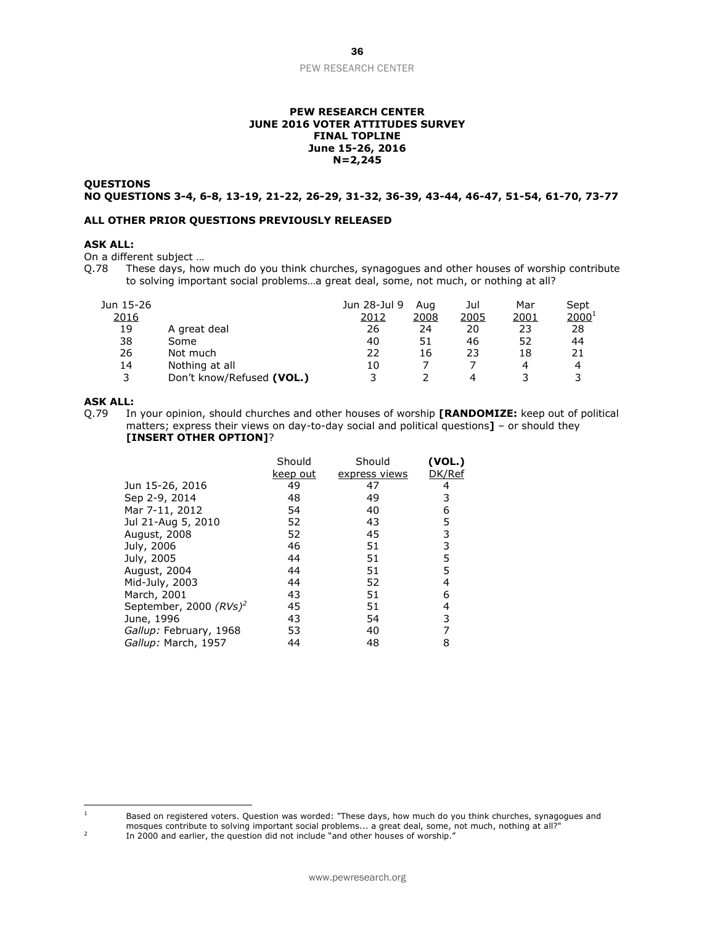#### PEW RESEARCH CENTER

#### **PEW RESEARCH CENTER JUNE 2016 VOTER ATTITUDES SURVEY FINAL TOPLINE June 15-26, 2016 N=2,245**

#### **QUESTIONS NO QUESTIONS 3-4, 6-8, 13-19, 21-22, 26-29, 31-32, 36-39, 43-44, 46-47, 51-54, 61-70, 73-77**

#### **ALL OTHER PRIOR QUESTIONS PREVIOUSLY RELEASED**

## **ASK ALL:**

On a different subject ...<br>Q.78 These days, how

These days, how much do you think churches, synagogues and other houses of worship contribute to solving important social problems…a great deal, some, not much, or nothing at all?

| Jun 15-26<br>2016 |                           | Jun 28-Jul 9<br>2012 | Aua<br>2008 | Jul<br>2005 | Mar<br><u> 2001</u> | Sept<br>$2000^{1}$ |
|-------------------|---------------------------|----------------------|-------------|-------------|---------------------|--------------------|
| 19                | A great deal              | 26                   | 24          | 20          | 23                  | 28                 |
| 38                | Some                      | 40                   | 51          | 46          | 52                  | 44                 |
| 26                | Not much                  | 22                   | 16          | 23          | 18                  | 21                 |
| 14                | Nothing at all            | 10                   |             |             | 4                   | 4                  |
| 3                 | Don't know/Refused (VOL.) |                      |             | 4           |                     |                    |

## **ASK ALL:**

Q.79 In your opinion, should churches and other houses of worship **[RANDOMIZE:** keep out of political matters; express their views on day-to-day social and political questions**]** – or should they **[INSERT OTHER OPTION]**?

|                           | Should<br>keep out | Should<br>express views | (VOL.)<br>DK/Ref |
|---------------------------|--------------------|-------------------------|------------------|
| Jun 15-26, 2016           | 49                 | 47                      | 4                |
| Sep 2-9, 2014             | 48                 | 49                      | 3                |
| Mar 7-11, 2012            | 54                 | 40                      | 6                |
| Jul 21-Aug 5, 2010        | 52                 | 43                      | 5                |
| August, 2008              | 52                 | 45                      | 3                |
| July, 2006                | 46                 | 51                      | 3                |
| July, 2005                | 44                 | 51                      | 5                |
| August, 2004              | 44                 | 51                      | 5                |
| Mid-July, 2003            | 44                 | 52                      | 4                |
| March, 2001               | 43                 | 51                      | 6                |
| September, 2000 $(RVs)^2$ | 45                 | 51                      | 4                |
| June, 1996                | 43                 | 54                      | 3                |
| Gallup: February, 1968    | 53                 | 40                      | 7                |
| Gallup: March, 1957       | 44                 | 48                      | 8                |

2 In 2000 and earlier, the question did not include "and other houses of worship.'

 $\mathbf{1}$ <sup>1</sup> Based on registered voters. Question was worded: "These days, how much do you think churches, synagogues and mosques contribute to solving important social problems... a great deal, some, not much, nothing at all?"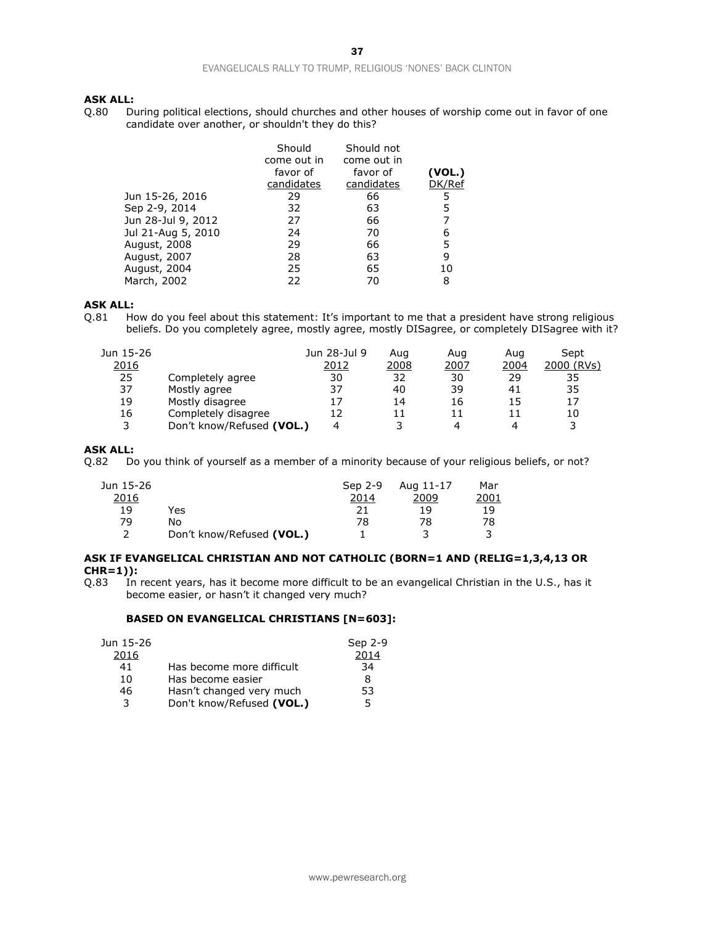#### EVANGELICALS RALLY TO TRUMP, RELIGIOUS 'NONES' BACK CLINTON

# **ASK ALL:**<br>Q.80 Di

During political elections, should churches and other houses of worship come out in favor of one candidate over another, or shouldn't they do this?

| Should<br>come out in | Should not<br>come out in | (VOL.)   |
|-----------------------|---------------------------|----------|
| candidates            | candidates                | DK/Ref   |
| 29                    | 66                        | 5        |
| 32                    | 63                        | 5        |
| 27                    | 66                        | 7        |
| 24                    | 70                        | 6        |
| 29                    | 66                        | 5        |
| 28                    | 63                        | 9        |
| 25                    | 65                        | 10       |
| 22                    | 70                        | 8        |
|                       | favor of                  | favor of |

## **ASK ALL:**

Q.81 How do you feel about this statement: It's important to me that a president have strong religious beliefs. Do you completely agree, mostly agree, mostly DISagree, or completely DISagree with it?

| Jun 15-26 |                           | Jun 28-Jul 9 | Aug  | Aug  | Aug  | Sept       |
|-----------|---------------------------|--------------|------|------|------|------------|
| 2016      |                           | 2012         | 2008 | 2007 | 2004 | 2000 (RVs) |
| 25        | Completely agree          | 30           | 32   | 30   | 29   | 35         |
| 37        | Mostly agree              | 37           | 40   | 39   | 41   | 35         |
| 19        | Mostly disagree           |              | 14   | 16   | 15   | 17         |
| 16        | Completely disagree       |              | 11   |      |      | 10         |
| ર         | Don't know/Refused (VOL.) | 4            |      | 4    |      | 3          |

### **ASK ALL:**

Q.82 Do you think of yourself as a member of a minority because of your religious beliefs, or not?

| Jun 15-26 |                           | Sep 2-9 | Aug 11-17 | Mar  |
|-----------|---------------------------|---------|-----------|------|
| 2016      |                           | 2014    | 2009      | 2001 |
| 19        | Yes                       |         | 19        | 19   |
| 79        | No                        | 78      | 78        | 78   |
| っ         | Don't know/Refused (VOL.) |         |           |      |

#### **ASK IF EVANGELICAL CHRISTIAN AND NOT CATHOLIC (BORN=1 AND (RELIG=1,3,4,13 OR CHR=1)):**

Q.83 In recent years, has it become more difficult to be an evangelical Christian in the U.S., has it become easier, or hasn't it changed very much?

#### **BASED ON EVANGELICAL CHRISTIANS [N=603]:**

| Jun 15-26 |                           | Sep 2-9 |
|-----------|---------------------------|---------|
| 2016      |                           | 2014    |
| 41        | Has become more difficult | 34      |
| 10        | Has become easier         | 8       |
| 46        | Hasn't changed very much  | 53      |
| 3         | Don't know/Refused (VOL.) | 5.      |